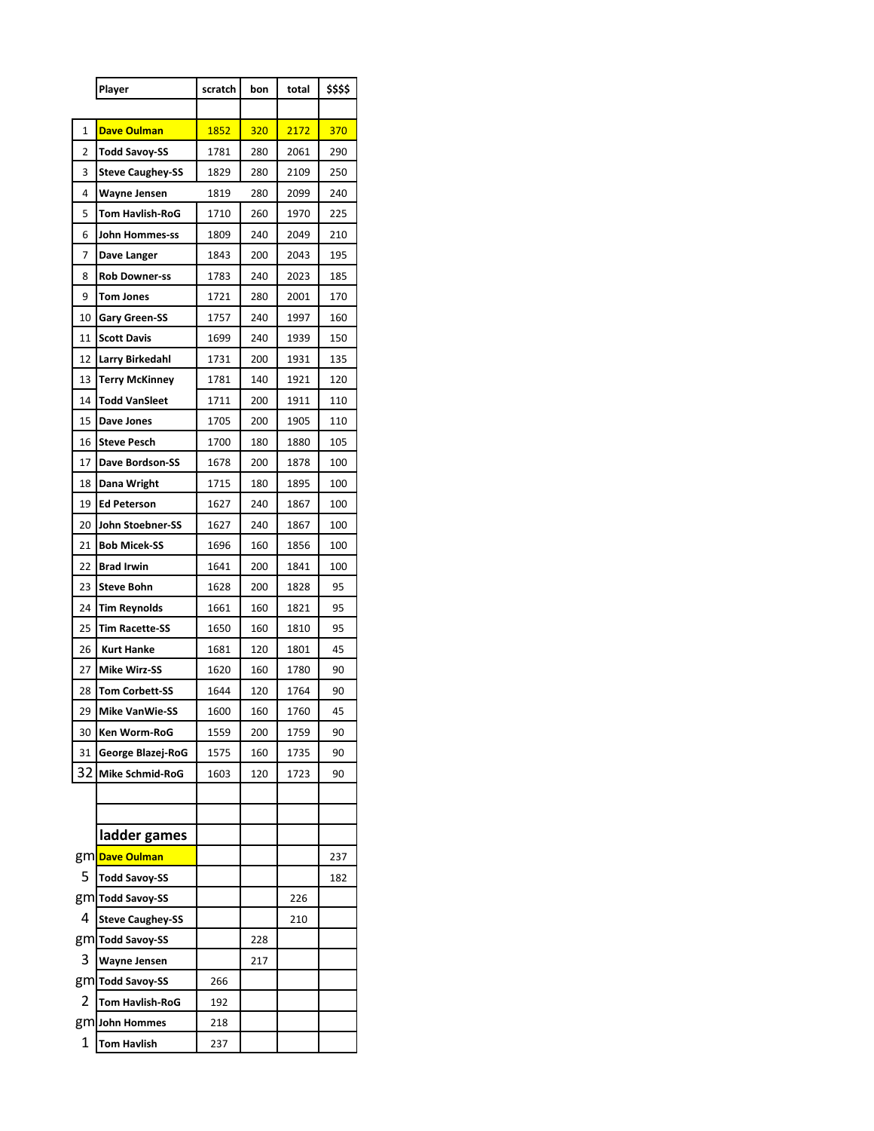|    | Player                                      | scratch | bon | total | \$\$\$\$ |  |
|----|---------------------------------------------|---------|-----|-------|----------|--|
|    |                                             |         |     |       |          |  |
| 1  | <b>Dave Oulman</b>                          | 1852    | 320 | 2172  | 370      |  |
| 2  | Todd Savoy-SS                               | 1781    | 280 | 2061  | 290      |  |
| 3  | <b>Steve Caughey-SS</b>                     | 1829    | 280 | 2109  | 250      |  |
| 4  | <b>Wayne Jensen</b>                         | 1819    | 280 | 2099  | 240      |  |
| 5  | Tom Havlish-RoG                             | 1710    | 260 | 1970  | 225      |  |
| 6  | John Hommes-ss                              | 1809    | 240 | 2049  | 210      |  |
| 7  | Dave Langer                                 | 1843    | 200 | 2043  | 195      |  |
| 8  | <b>Rob Downer-ss</b>                        | 1783    | 240 | 2023  | 185      |  |
| 9  | <b>Tom Jones</b>                            | 1721    | 280 | 2001  | 170      |  |
| 10 | <b>Gary Green-SS</b>                        | 1757    | 240 | 1997  | 160      |  |
| 11 | <b>Scott Davis</b>                          | 1699    | 240 | 1939  | 150      |  |
| 12 | Larry Birkedahl                             | 1731    | 200 | 1931  | 135      |  |
| 13 | <b>Terry McKinney</b>                       | 1781    | 140 | 1921  | 120      |  |
| 14 | Todd VanSleet                               | 1711    | 200 | 1911  | 110      |  |
| 15 | Dave Jones                                  | 1705    | 200 | 1905  | 110      |  |
| 16 | <b>Steve Pesch</b>                          | 1700    | 180 | 1880  | 105      |  |
| 17 | Dave Bordson-SS                             | 1678    | 200 | 1878  | 100      |  |
| 18 | Dana Wright                                 | 1715    | 180 | 1895  | 100      |  |
| 19 | <b>Ed Peterson</b>                          | 1627    | 240 | 1867  | 100      |  |
| 20 | John Stoebner-SS                            | 1627    | 240 | 1867  | 100      |  |
| 21 | <b>Bob Micek-SS</b>                         | 1696    | 160 | 1856  | 100      |  |
| 22 | <b>Brad Irwin</b>                           | 1641    | 200 | 1841  | 100      |  |
| 23 | <b>Steve Bohn</b>                           | 1628    | 200 | 1828  | 95       |  |
| 24 | <b>Tim Reynolds</b>                         | 1661    | 160 | 1821  | 95       |  |
| 25 | <b>Tim Racette-SS</b>                       | 1650    | 160 | 1810  | 95       |  |
| 26 | <b>Kurt Hanke</b>                           | 1681    | 120 | 1801  | 45       |  |
| 27 | <b>Mike Wirz-SS</b>                         | 1620    | 160 | 1780  | 90       |  |
| 28 | <b>Tom Corbett-SS</b>                       | 1644    | 120 | 1764  | 90       |  |
| 29 | <b>Mike VanWie-SS</b>                       | 1600    | 160 | 1760  | 45       |  |
| 30 | Ken Worm-RoG                                | 1559    | 200 | 1759  | 90       |  |
| 31 | George Blazej-RoG                           | 1575    | 160 | 1735  | 90       |  |
| 32 | Mike Schmid-RoG                             | 1603    | 120 | 1723  | 90       |  |
|    |                                             |         |     |       |          |  |
|    | ladder games                                |         |     |       |          |  |
|    | gm <mark>Dave Oulman</mark>                 |         |     |       | 237      |  |
| 5  | <b>Todd Savoy-SS</b>                        |         |     |       | 182      |  |
|    |                                             |         |     | 226   |          |  |
| 4  | gm Todd Savoy-SS<br><b>Steve Caughey-SS</b> |         |     | 210   |          |  |
|    |                                             |         | 228 |       |          |  |
| 3  | gm Todd Savoy-SS                            |         |     |       |          |  |
|    | <b>Wayne Jensen</b>                         |         | 217 |       |          |  |
| 2  | gm Todd Savoy-SS                            | 266     |     |       |          |  |
|    | <b>Tom Havlish-RoG</b>                      | 192     |     |       |          |  |
|    | gm John Hommes                              | 218     |     |       |          |  |
| 1  | <b>Tom Havlish</b>                          | 237     |     |       |          |  |